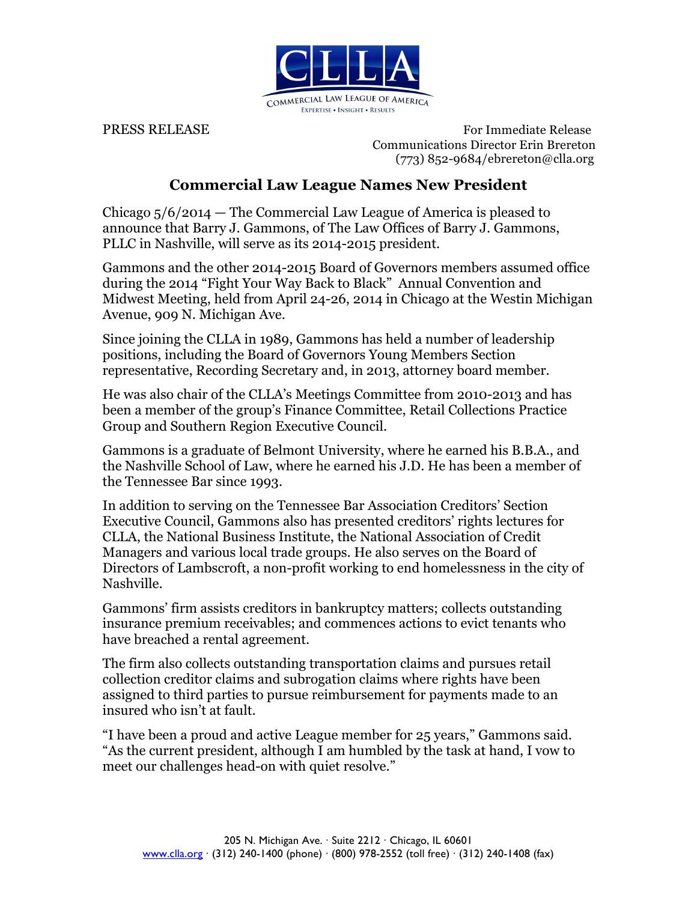

PRESS RELEASE For Immediate Release Communications Director Erin Brereton (773) 852-9684/ebrereton@clla.org

## **Commercial Law League Names New President**

Chicago 5/6/2014 — The Commercial Law League of America is pleased to announce that Barry J. Gammons, of The Law Offices of Barry J. Gammons, PLLC in Nashville, will serve as its 2014-2015 president.

Gammons and the other 2014-2015 Board of Governors members assumed office during the 2014 "Fight Your Way Back to Black" Annual Convention and Midwest Meeting, held from April 24-26, 2014 in Chicago at the Westin Michigan Avenue, 909 N. Michigan Ave.

Since joining the CLLA in 1989, Gammons has held a number of leadership positions, including the Board of Governors Young Members Section representative, Recording Secretary and, in 2013, attorney board member.

He was also chair of the CLLA's Meetings Committee from 2010-2013 and has been a member of the group's Finance Committee, Retail Collections Practice Group and Southern Region Executive Council.

Gammons is a graduate of Belmont University, where he earned his B.B.A., and the Nashville School of Law, where he earned his J.D. He has been a member of the Tennessee Bar since 1993.

In addition to serving on the Tennessee Bar Association Creditors' Section Executive Council, Gammons also has presented creditors' rights lectures for CLLA, the National Business Institute, the National Association of Credit Managers and various local trade groups. He also serves on the Board of Directors of Lambscroft, a non-profit working to end homelessness in the city of Nashville.

Gammons' firm assists creditors in bankruptcy matters; collects outstanding insurance premium receivables; and commences actions to evict tenants who have breached a rental agreement.

The firm also collects outstanding transportation claims and pursues retail collection creditor claims and subrogation claims where rights have been assigned to third parties to pursue reimbursement for payments made to an insured who isn't at fault.

"I have been a proud and active League member for 25 years," Gammons said. "As the current president, although I am humbled by the task at hand, I vow to meet our challenges head-on with quiet resolve."